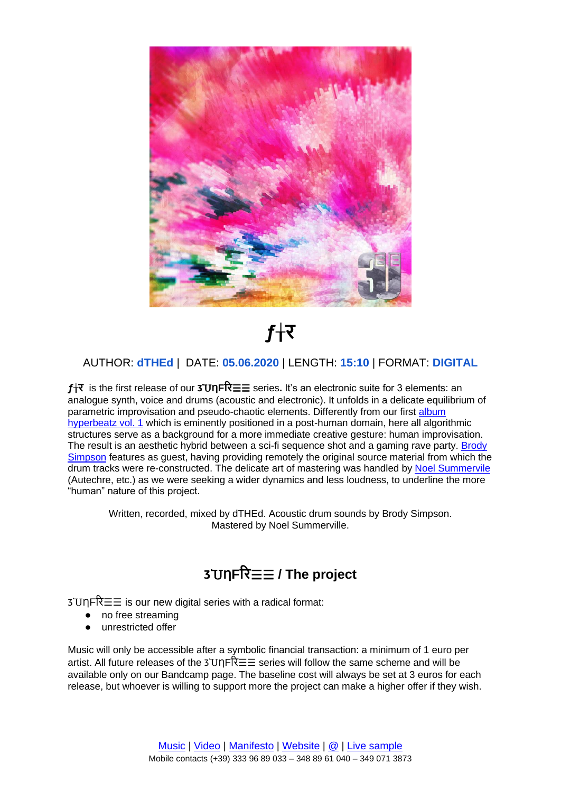

**ƒ**╁**र**

## AUTHOR: **dTHEd** | DATE: **05.06.2020** | LENGTH: **15:10** | FORMAT: **DIGITAL**

**ƒ**╁**र** is the first release of our **Ȝ**Ⴎ**ȠFरर**☰☰ series**.** It's an electronic suite for 3 elements: an analogue synth, voice and drums (acoustic and electronic). It unfolds in a delicate equilibrium of parametric improvisation and pseudo-chaotic elements. Differently from our first [album](https://boringmachines.bandcamp.com/album/dthed-hyperbeatz-vol-1)  [hyperbeatz vol. 1](https://boringmachines.bandcamp.com/album/dthed-hyperbeatz-vol-1) which is eminently positioned in a post-human domain, here all algorithmic structures serve as a background for a more immediate creative gesture: human improvisation. The result is an aesthetic hybrid between a sci-fi sequence shot and a gaming rave party. [Brody](https://www.instagram.com/brodysimpsondrums/)  [Simpson](https://www.instagram.com/brodysimpsondrums/) features as guest, having providing remotely the original source material from which the drum tracks were re-constructed. The delicate art of mastering was handled by [Noel Summervile](http://www.3345mastering.co.uk/about.html) (Autechre, etc.) as we were seeking a wider dynamics and less loudness, to underline the more "human" nature of this project.

Written, recorded, mixed by dTHEd. Acoustic drum sounds by Brody Simpson. Mastered by Noel Summerville.

## **Ȝ**Ⴎ**ȠFरर**☰☰ **/ The project**

 $3$ UnF $R\equiv$  is our new digital series with a radical format:

- no free streaming
- unrestricted offer

Music will only be accessible after a symbolic financial transaction: a minimum of 1 euro per artist. All future releases of the  $3 \text{U} \cap \text{F} \in \Xi$  series will follow the same scheme and will be available only on our Bandcamp page. The baseline cost will always be set at 3 euros for each release, but whoever is willing to support more the project can make a higher offer if they wish.